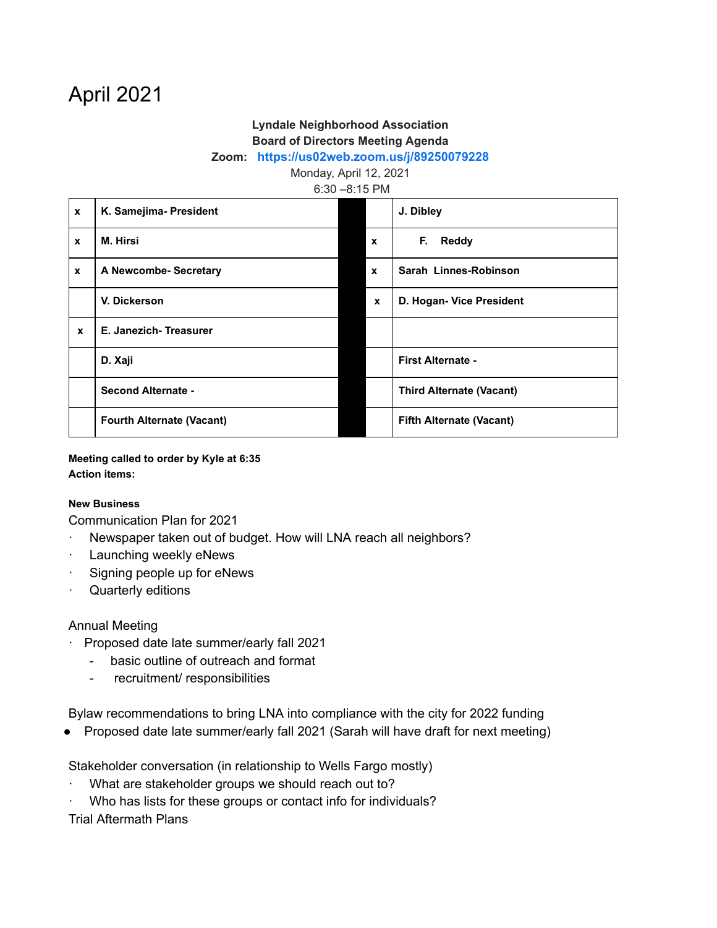# April 2021

# **Lyndale Neighborhood Association Board of Directors Meeting Agenda**

#### **Zoom: <https://us02web.zoom.us/j/89250079228>**

Monday, April 12, 2021

6:30 –8:15 PM

| $\mathbf{x}$ | K. Samejima- President           |                           | J. Dibley                       |
|--------------|----------------------------------|---------------------------|---------------------------------|
| $\mathbf{x}$ | <b>M. Hirsi</b>                  | $\boldsymbol{\mathsf{x}}$ | F.<br><b>Reddy</b>              |
| $\mathbf{x}$ | A Newcombe- Secretary            | $\mathbf{x}$              | Sarah Linnes-Robinson           |
|              | V. Dickerson                     | $\mathbf{x}$              | D. Hogan- Vice President        |
| $\mathbf{x}$ | E. Janezich-Treasurer            |                           |                                 |
|              | D. Xaji                          |                           | <b>First Alternate -</b>        |
|              | <b>Second Alternate -</b>        |                           | <b>Third Alternate (Vacant)</b> |
|              | <b>Fourth Alternate (Vacant)</b> |                           | <b>Fifth Alternate (Vacant)</b> |

**Meeting called to order by Kyle at 6:35 Action items:**

#### **New Business**

Communication Plan for 2021

- · Newspaper taken out of budget. How will LNA reach all neighbors?
- · Launching weekly eNews
- · Signing people up for eNews
- · Quarterly editions

### Annual Meeting

- · Proposed date late summer/early fall 2021
	- basic outline of outreach and format
	- recruitment/ responsibilities

Bylaw recommendations to bring LNA into compliance with the city for 2022 funding

● Proposed date late summer/early fall 2021 (Sarah will have draft for next meeting)

Stakeholder conversation (in relationship to Wells Fargo mostly)

- What are stakeholder groups we should reach out to?
- · Who has lists for these groups or contact info for individuals?

Trial Aftermath Plans